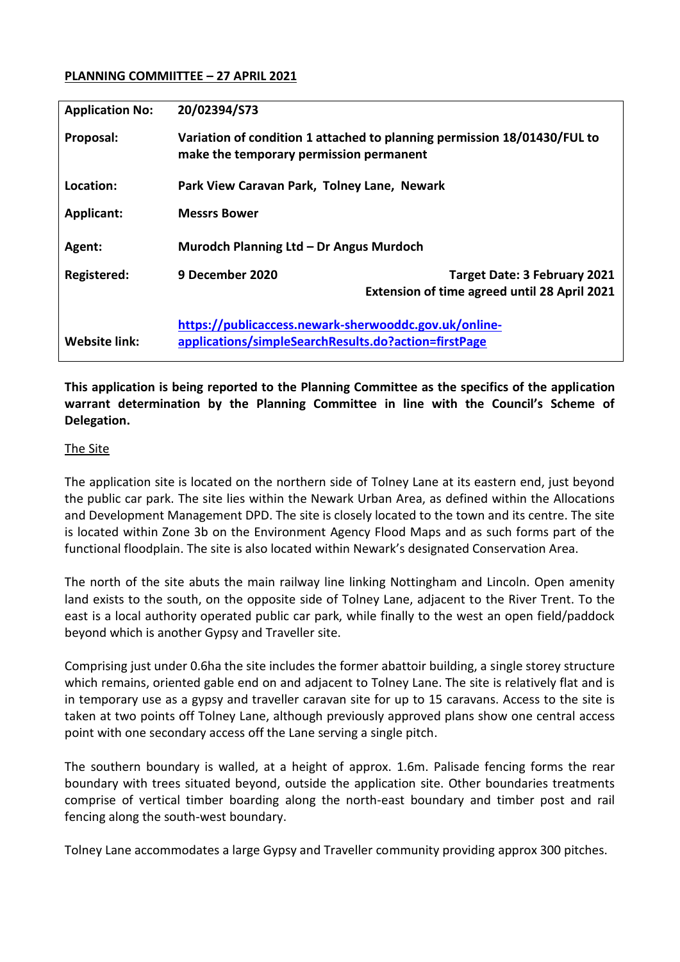### **PLANNING COMMIITTEE – 27 APRIL 2021**

| <b>Application No:</b> | 20/02394/S73                                                                                                        |
|------------------------|---------------------------------------------------------------------------------------------------------------------|
| Proposal:              | Variation of condition 1 attached to planning permission 18/01430/FUL to<br>make the temporary permission permanent |
| Location:              | Park View Caravan Park, Tolney Lane, Newark                                                                         |
| <b>Applicant:</b>      | <b>Messrs Bower</b>                                                                                                 |
| Agent:                 | Murodch Planning Ltd - Dr Angus Murdoch                                                                             |
| Registered:            | 9 December 2020<br>Target Date: 3 February 2021<br><b>Extension of time agreed until 28 April 2021</b>              |
| <b>Website link:</b>   | https://publicaccess.newark-sherwooddc.gov.uk/online-<br>applications/simpleSearchResults.do?action=firstPage       |

**This application is being reported to the Planning Committee as the specifics of the application warrant determination by the Planning Committee in line with the Council's Scheme of Delegation.** 

### The Site

The application site is located on the northern side of Tolney Lane at its eastern end, just beyond the public car park. The site lies within the Newark Urban Area, as defined within the Allocations and Development Management DPD. The site is closely located to the town and its centre. The site is located within Zone 3b on the Environment Agency Flood Maps and as such forms part of the functional floodplain. The site is also located within Newark's designated Conservation Area.

The north of the site abuts the main railway line linking Nottingham and Lincoln. Open amenity land exists to the south, on the opposite side of Tolney Lane, adjacent to the River Trent. To the east is a local authority operated public car park, while finally to the west an open field/paddock beyond which is another Gypsy and Traveller site.

Comprising just under 0.6ha the site includes the former abattoir building, a single storey structure which remains, oriented gable end on and adjacent to Tolney Lane. The site is relatively flat and is in temporary use as a gypsy and traveller caravan site for up to 15 caravans. Access to the site is taken at two points off Tolney Lane, although previously approved plans show one central access point with one secondary access off the Lane serving a single pitch.

The southern boundary is walled, at a height of approx. 1.6m. Palisade fencing forms the rear boundary with trees situated beyond, outside the application site. Other boundaries treatments comprise of vertical timber boarding along the north-east boundary and timber post and rail fencing along the south-west boundary.

Tolney Lane accommodates a large Gypsy and Traveller community providing approx 300 pitches.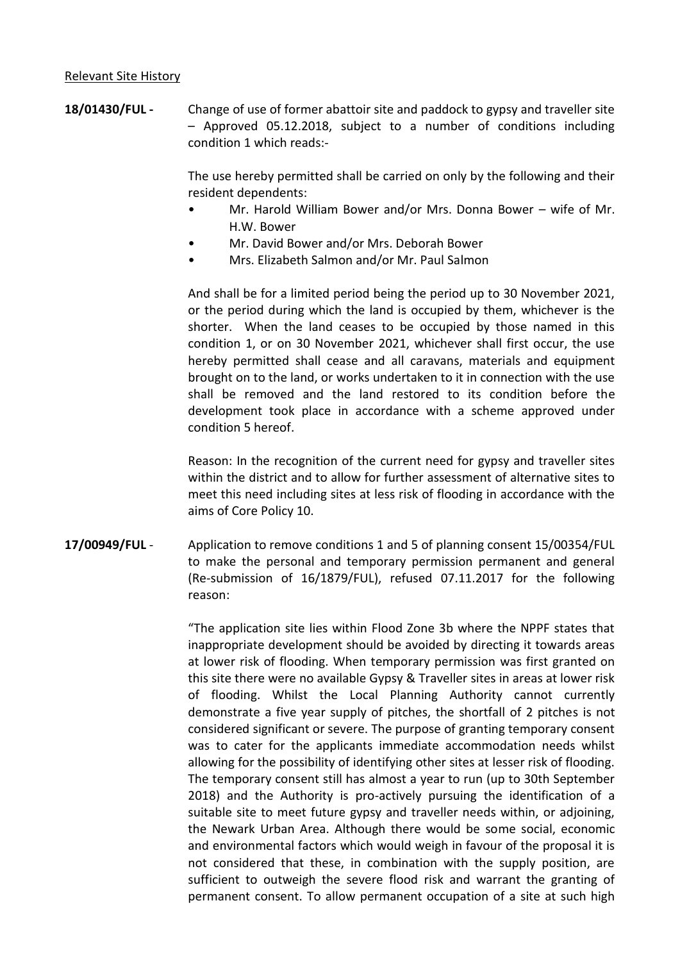#### Relevant Site History

**18/01430/FUL -** Change of use of former abattoir site and paddock to gypsy and traveller site – Approved 05.12.2018, subject to a number of conditions including condition 1 which reads:-

> The use hereby permitted shall be carried on only by the following and their resident dependents:

- Mr. Harold William Bower and/or Mrs. Donna Bower wife of Mr. H.W. Bower
- Mr. David Bower and/or Mrs. Deborah Bower
- Mrs. Elizabeth Salmon and/or Mr. Paul Salmon

And shall be for a limited period being the period up to 30 November 2021, or the period during which the land is occupied by them, whichever is the shorter. When the land ceases to be occupied by those named in this condition 1, or on 30 November 2021, whichever shall first occur, the use hereby permitted shall cease and all caravans, materials and equipment brought on to the land, or works undertaken to it in connection with the use shall be removed and the land restored to its condition before the development took place in accordance with a scheme approved under condition 5 hereof.

Reason: In the recognition of the current need for gypsy and traveller sites within the district and to allow for further assessment of alternative sites to meet this need including sites at less risk of flooding in accordance with the aims of Core Policy 10.

**17/00949/FUL** - Application to remove conditions 1 and 5 of planning consent 15/00354/FUL to make the personal and temporary permission permanent and general (Re-submission of 16/1879/FUL), refused 07.11.2017 for the following reason:

> "The application site lies within Flood Zone 3b where the NPPF states that inappropriate development should be avoided by directing it towards areas at lower risk of flooding. When temporary permission was first granted on this site there were no available Gypsy & Traveller sites in areas at lower risk of flooding. Whilst the Local Planning Authority cannot currently demonstrate a five year supply of pitches, the shortfall of 2 pitches is not considered significant or severe. The purpose of granting temporary consent was to cater for the applicants immediate accommodation needs whilst allowing for the possibility of identifying other sites at lesser risk of flooding. The temporary consent still has almost a year to run (up to 30th September 2018) and the Authority is pro-actively pursuing the identification of a suitable site to meet future gypsy and traveller needs within, or adjoining, the Newark Urban Area. Although there would be some social, economic and environmental factors which would weigh in favour of the proposal it is not considered that these, in combination with the supply position, are sufficient to outweigh the severe flood risk and warrant the granting of permanent consent. To allow permanent occupation of a site at such high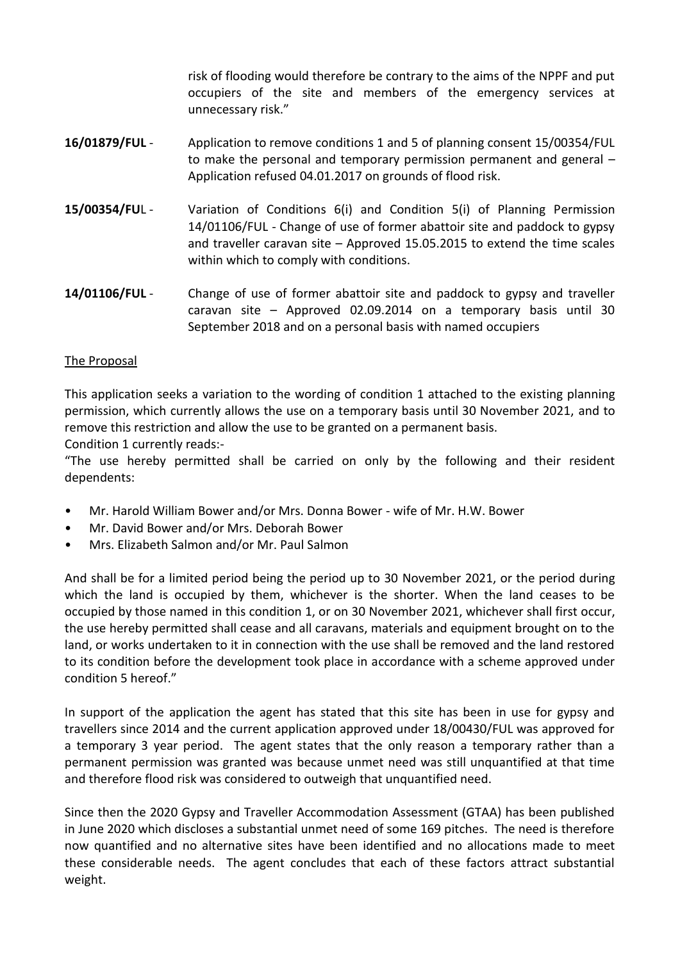risk of flooding would therefore be contrary to the aims of the NPPF and put occupiers of the site and members of the emergency services at unnecessary risk."

- **16/01879/FUL** Application to remove conditions 1 and 5 of planning consent 15/00354/FUL to make the personal and temporary permission permanent and general – Application refused 04.01.2017 on grounds of flood risk.
- **15/00354/FU**L Variation of Conditions 6(i) and Condition 5(i) of Planning Permission 14/01106/FUL - Change of use of former abattoir site and paddock to gypsy and traveller caravan site – Approved 15.05.2015 to extend the time scales within which to comply with conditions.
- **14/01106/FUL** Change of use of former abattoir site and paddock to gypsy and traveller caravan site – Approved 02.09.2014 on a temporary basis until 30 September 2018 and on a personal basis with named occupiers

### The Proposal

This application seeks a variation to the wording of condition 1 attached to the existing planning permission, which currently allows the use on a temporary basis until 30 November 2021, and to remove this restriction and allow the use to be granted on a permanent basis.

Condition 1 currently reads:-

"The use hereby permitted shall be carried on only by the following and their resident dependents:

- Mr. Harold William Bower and/or Mrs. Donna Bower wife of Mr. H.W. Bower
- Mr. David Bower and/or Mrs. Deborah Bower
- Mrs. Elizabeth Salmon and/or Mr. Paul Salmon

And shall be for a limited period being the period up to 30 November 2021, or the period during which the land is occupied by them, whichever is the shorter. When the land ceases to be occupied by those named in this condition 1, or on 30 November 2021, whichever shall first occur, the use hereby permitted shall cease and all caravans, materials and equipment brought on to the land, or works undertaken to it in connection with the use shall be removed and the land restored to its condition before the development took place in accordance with a scheme approved under condition 5 hereof."

In support of the application the agent has stated that this site has been in use for gypsy and travellers since 2014 and the current application approved under 18/00430/FUL was approved for a temporary 3 year period. The agent states that the only reason a temporary rather than a permanent permission was granted was because unmet need was still unquantified at that time and therefore flood risk was considered to outweigh that unquantified need.

Since then the 2020 Gypsy and Traveller Accommodation Assessment (GTAA) has been published in June 2020 which discloses a substantial unmet need of some 169 pitches. The need is therefore now quantified and no alternative sites have been identified and no allocations made to meet these considerable needs. The agent concludes that each of these factors attract substantial weight.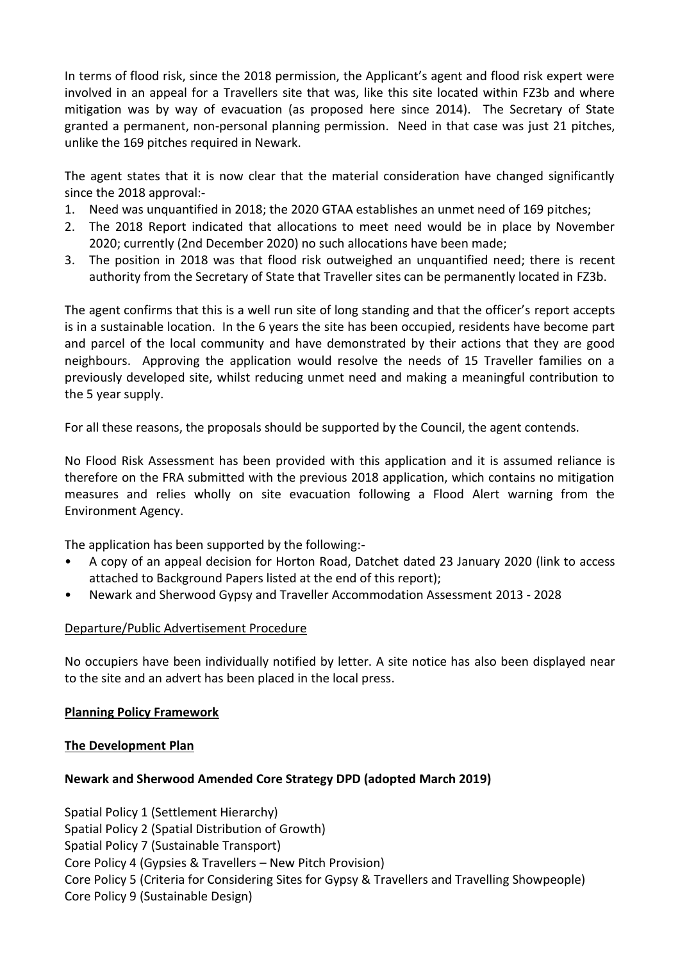In terms of flood risk, since the 2018 permission, the Applicant's agent and flood risk expert were involved in an appeal for a Travellers site that was, like this site located within FZ3b and where mitigation was by way of evacuation (as proposed here since 2014). The Secretary of State granted a permanent, non-personal planning permission. Need in that case was just 21 pitches, unlike the 169 pitches required in Newark.

The agent states that it is now clear that the material consideration have changed significantly since the 2018 approval:-

- 1. Need was unquantified in 2018; the 2020 GTAA establishes an unmet need of 169 pitches;
- 2. The 2018 Report indicated that allocations to meet need would be in place by November 2020; currently (2nd December 2020) no such allocations have been made;
- 3. The position in 2018 was that flood risk outweighed an unquantified need; there is recent authority from the Secretary of State that Traveller sites can be permanently located in FZ3b.

The agent confirms that this is a well run site of long standing and that the officer's report accepts is in a sustainable location. In the 6 years the site has been occupied, residents have become part and parcel of the local community and have demonstrated by their actions that they are good neighbours. Approving the application would resolve the needs of 15 Traveller families on a previously developed site, whilst reducing unmet need and making a meaningful contribution to the 5 year supply.

For all these reasons, the proposals should be supported by the Council, the agent contends.

No Flood Risk Assessment has been provided with this application and it is assumed reliance is therefore on the FRA submitted with the previous 2018 application, which contains no mitigation measures and relies wholly on site evacuation following a Flood Alert warning from the Environment Agency.

The application has been supported by the following:-

- A copy of an appeal decision for Horton Road, Datchet dated 23 January 2020 (link to access attached to Background Papers listed at the end of this report);
- Newark and Sherwood Gypsy and Traveller Accommodation Assessment 2013 2028

# Departure/Public Advertisement Procedure

No occupiers have been individually notified by letter. A site notice has also been displayed near to the site and an advert has been placed in the local press.

# **Planning Policy Framework**

# **The Development Plan**

# **Newark and Sherwood Amended Core Strategy DPD (adopted March 2019)**

Spatial Policy 1 (Settlement Hierarchy) Spatial Policy 2 (Spatial Distribution of Growth) Spatial Policy 7 (Sustainable Transport) Core Policy 4 (Gypsies & Travellers – New Pitch Provision) Core Policy 5 (Criteria for Considering Sites for Gypsy & Travellers and Travelling Showpeople) Core Policy 9 (Sustainable Design)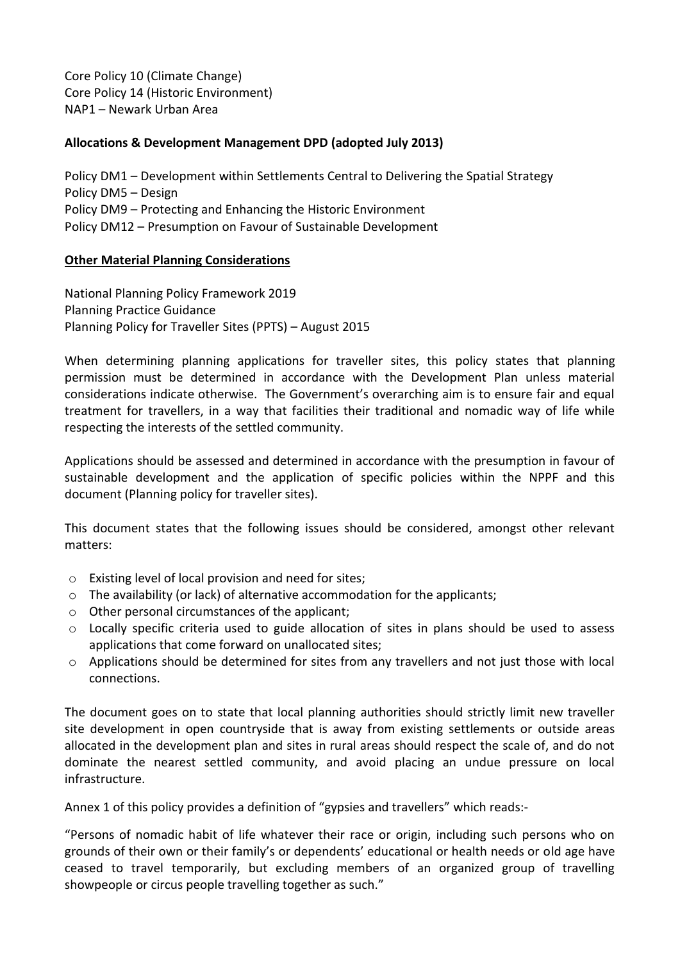Core Policy 10 (Climate Change) Core Policy 14 (Historic Environment) NAP1 – Newark Urban Area

### **Allocations & Development Management DPD (adopted July 2013)**

Policy DM1 – Development within Settlements Central to Delivering the Spatial Strategy Policy DM5 – Design Policy DM9 – Protecting and Enhancing the Historic Environment Policy DM12 – Presumption on Favour of Sustainable Development

#### **Other Material Planning Considerations**

National Planning Policy Framework 2019 Planning Practice Guidance Planning Policy for Traveller Sites (PPTS) – August 2015

When determining planning applications for traveller sites, this policy states that planning permission must be determined in accordance with the Development Plan unless material considerations indicate otherwise. The Government's overarching aim is to ensure fair and equal treatment for travellers, in a way that facilities their traditional and nomadic way of life while respecting the interests of the settled community.

Applications should be assessed and determined in accordance with the presumption in favour of sustainable development and the application of specific policies within the NPPF and this document (Planning policy for traveller sites).

This document states that the following issues should be considered, amongst other relevant matters:

- o Existing level of local provision and need for sites;
- o The availability (or lack) of alternative accommodation for the applicants;
- o Other personal circumstances of the applicant;
- o Locally specific criteria used to guide allocation of sites in plans should be used to assess applications that come forward on unallocated sites;
- o Applications should be determined for sites from any travellers and not just those with local connections.

The document goes on to state that local planning authorities should strictly limit new traveller site development in open countryside that is away from existing settlements or outside areas allocated in the development plan and sites in rural areas should respect the scale of, and do not dominate the nearest settled community, and avoid placing an undue pressure on local infrastructure.

Annex 1 of this policy provides a definition of "gypsies and travellers" which reads:-

"Persons of nomadic habit of life whatever their race or origin, including such persons who on grounds of their own or their family's or dependents' educational or health needs or old age have ceased to travel temporarily, but excluding members of an organized group of travelling showpeople or circus people travelling together as such."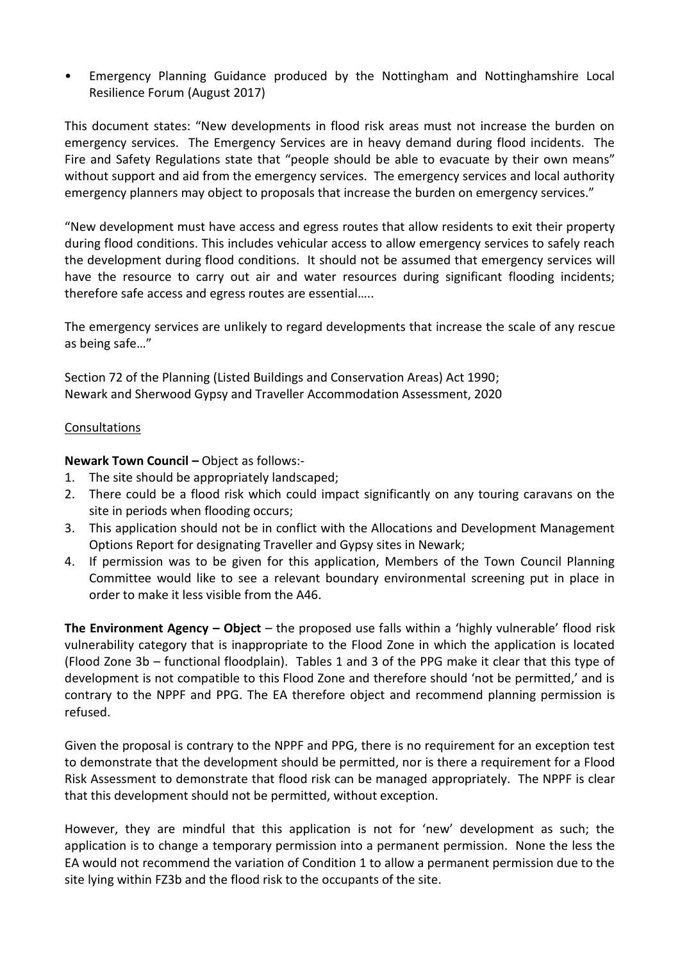• Emergency Planning Guidance produced by the Nottingham and Nottinghamshire Local Resilience Forum (August 2017)

This document states: "New developments in flood risk areas must not increase the burden on emergency services. The Emergency Services are in heavy demand during flood incidents. The Fire and Safety Regulations state that "people should be able to evacuate by their own means" without support and aid from the emergency services. The emergency services and local authority emergency planners may object to proposals that increase the burden on emergency services."

"New development must have access and egress routes that allow residents to exit their property during flood conditions. This includes vehicular access to allow emergency services to safely reach the development during flood conditions. It should not be assumed that emergency services will have the resource to carry out air and water resources during significant flooding incidents; therefore safe access and egress routes are essential…..

The emergency services are unlikely to regard developments that increase the scale of any rescue as being safe…"

Section 72 of the Planning (Listed Buildings and Conservation Areas) Act 1990; Newark and Sherwood Gypsy and Traveller Accommodation Assessment, 2020

### Consultations

**Newark Town Council –** Object as follows:-

- 1. The site should be appropriately landscaped;
- 2. There could be a flood risk which could impact significantly on any touring caravans on the site in periods when flooding occurs;
- 3. This application should not be in conflict with the Allocations and Development Management Options Report for designating Traveller and Gypsy sites in Newark;
- 4. If permission was to be given for this application, Members of the Town Council Planning Committee would like to see a relevant boundary environmental screening put in place in order to make it less visible from the A46.

**The Environment Agency – Object** – the proposed use falls within a 'highly vulnerable' flood risk vulnerability category that is inappropriate to the Flood Zone in which the application is located (Flood Zone 3b – functional floodplain). Tables 1 and 3 of the PPG make it clear that this type of development is not compatible to this Flood Zone and therefore should 'not be permitted,' and is contrary to the NPPF and PPG. The EA therefore object and recommend planning permission is refused.

Given the proposal is contrary to the NPPF and PPG, there is no requirement for an exception test to demonstrate that the development should be permitted, nor is there a requirement for a Flood Risk Assessment to demonstrate that flood risk can be managed appropriately. The NPPF is clear that this development should not be permitted, without exception.

However, they are mindful that this application is not for 'new' development as such; the application is to change a temporary permission into a permanent permission. None the less the EA would not recommend the variation of Condition 1 to allow a permanent permission due to the site lying within FZ3b and the flood risk to the occupants of the site.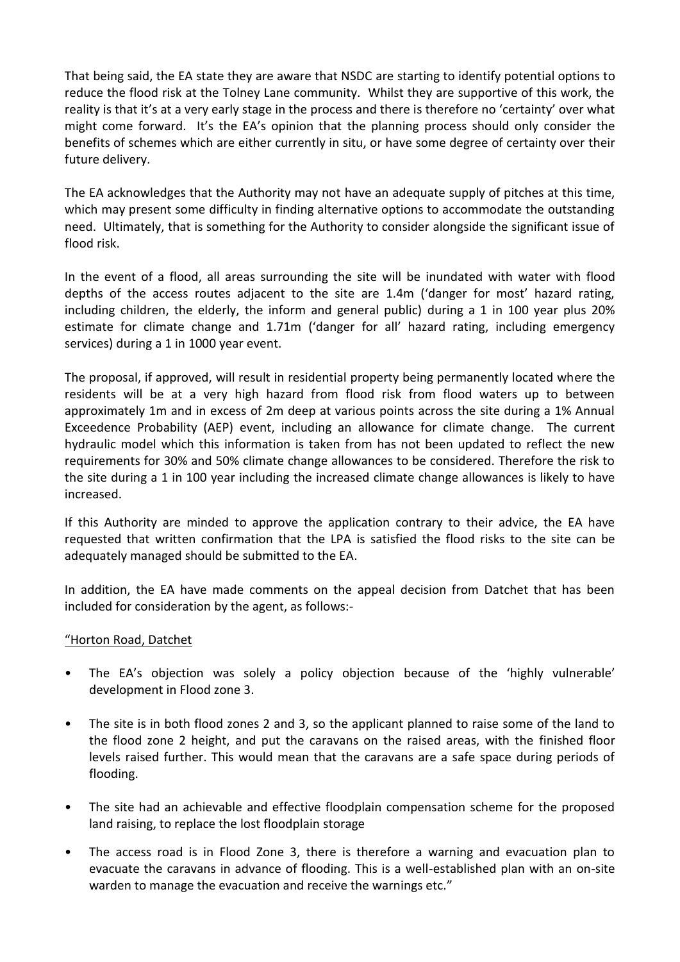That being said, the EA state they are aware that NSDC are starting to identify potential options to reduce the flood risk at the Tolney Lane community. Whilst they are supportive of this work, the reality is that it's at a very early stage in the process and there is therefore no 'certainty' over what might come forward. It's the EA's opinion that the planning process should only consider the benefits of schemes which are either currently in situ, or have some degree of certainty over their future delivery.

The EA acknowledges that the Authority may not have an adequate supply of pitches at this time, which may present some difficulty in finding alternative options to accommodate the outstanding need. Ultimately, that is something for the Authority to consider alongside the significant issue of flood risk.

In the event of a flood, all areas surrounding the site will be inundated with water with flood depths of the access routes adjacent to the site are 1.4m ('danger for most' hazard rating, including children, the elderly, the inform and general public) during a 1 in 100 year plus 20% estimate for climate change and 1.71m ('danger for all' hazard rating, including emergency services) during a 1 in 1000 year event.

The proposal, if approved, will result in residential property being permanently located where the residents will be at a very high hazard from flood risk from flood waters up to between approximately 1m and in excess of 2m deep at various points across the site during a 1% Annual Exceedence Probability (AEP) event, including an allowance for climate change. The current hydraulic model which this information is taken from has not been updated to reflect the new requirements for 30% and 50% climate change allowances to be considered. Therefore the risk to the site during a 1 in 100 year including the increased climate change allowances is likely to have increased.

If this Authority are minded to approve the application contrary to their advice, the EA have requested that written confirmation that the LPA is satisfied the flood risks to the site can be adequately managed should be submitted to the EA.

In addition, the EA have made comments on the appeal decision from Datchet that has been included for consideration by the agent, as follows:-

#### "Horton Road, Datchet

- The EA's objection was solely a policy objection because of the 'highly vulnerable' development in Flood zone 3.
- The site is in both flood zones 2 and 3, so the applicant planned to raise some of the land to the flood zone 2 height, and put the caravans on the raised areas, with the finished floor levels raised further. This would mean that the caravans are a safe space during periods of flooding.
- The site had an achievable and effective floodplain compensation scheme for the proposed land raising, to replace the lost floodplain storage
- The access road is in Flood Zone 3, there is therefore a warning and evacuation plan to evacuate the caravans in advance of flooding. This is a well-established plan with an on-site warden to manage the evacuation and receive the warnings etc."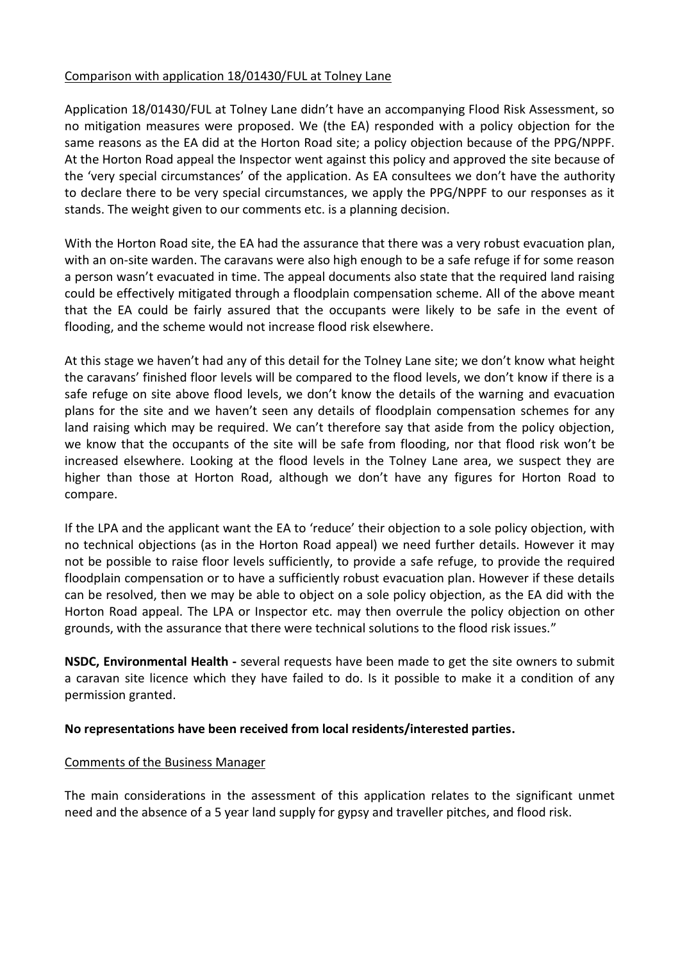### Comparison with application 18/01430/FUL at Tolney Lane

Application 18/01430/FUL at Tolney Lane didn't have an accompanying Flood Risk Assessment, so no mitigation measures were proposed. We (the EA) responded with a policy objection for the same reasons as the EA did at the Horton Road site; a policy objection because of the PPG/NPPF. At the Horton Road appeal the Inspector went against this policy and approved the site because of the 'very special circumstances' of the application. As EA consultees we don't have the authority to declare there to be very special circumstances, we apply the PPG/NPPF to our responses as it stands. The weight given to our comments etc. is a planning decision.

With the Horton Road site, the EA had the assurance that there was a very robust evacuation plan, with an on-site warden. The caravans were also high enough to be a safe refuge if for some reason a person wasn't evacuated in time. The appeal documents also state that the required land raising could be effectively mitigated through a floodplain compensation scheme. All of the above meant that the EA could be fairly assured that the occupants were likely to be safe in the event of flooding, and the scheme would not increase flood risk elsewhere.

At this stage we haven't had any of this detail for the Tolney Lane site; we don't know what height the caravans' finished floor levels will be compared to the flood levels, we don't know if there is a safe refuge on site above flood levels, we don't know the details of the warning and evacuation plans for the site and we haven't seen any details of floodplain compensation schemes for any land raising which may be required. We can't therefore say that aside from the policy objection, we know that the occupants of the site will be safe from flooding, nor that flood risk won't be increased elsewhere. Looking at the flood levels in the Tolney Lane area, we suspect they are higher than those at Horton Road, although we don't have any figures for Horton Road to compare.

If the LPA and the applicant want the EA to 'reduce' their objection to a sole policy objection, with no technical objections (as in the Horton Road appeal) we need further details. However it may not be possible to raise floor levels sufficiently, to provide a safe refuge, to provide the required floodplain compensation or to have a sufficiently robust evacuation plan. However if these details can be resolved, then we may be able to object on a sole policy objection, as the EA did with the Horton Road appeal. The LPA or Inspector etc. may then overrule the policy objection on other grounds, with the assurance that there were technical solutions to the flood risk issues."

**NSDC, Environmental Health -** several requests have been made to get the site owners to submit a caravan site licence which they have failed to do. Is it possible to make it a condition of any permission granted.

#### **No representations have been received from local residents/interested parties.**

#### Comments of the Business Manager

The main considerations in the assessment of this application relates to the significant unmet need and the absence of a 5 year land supply for gypsy and traveller pitches, and flood risk.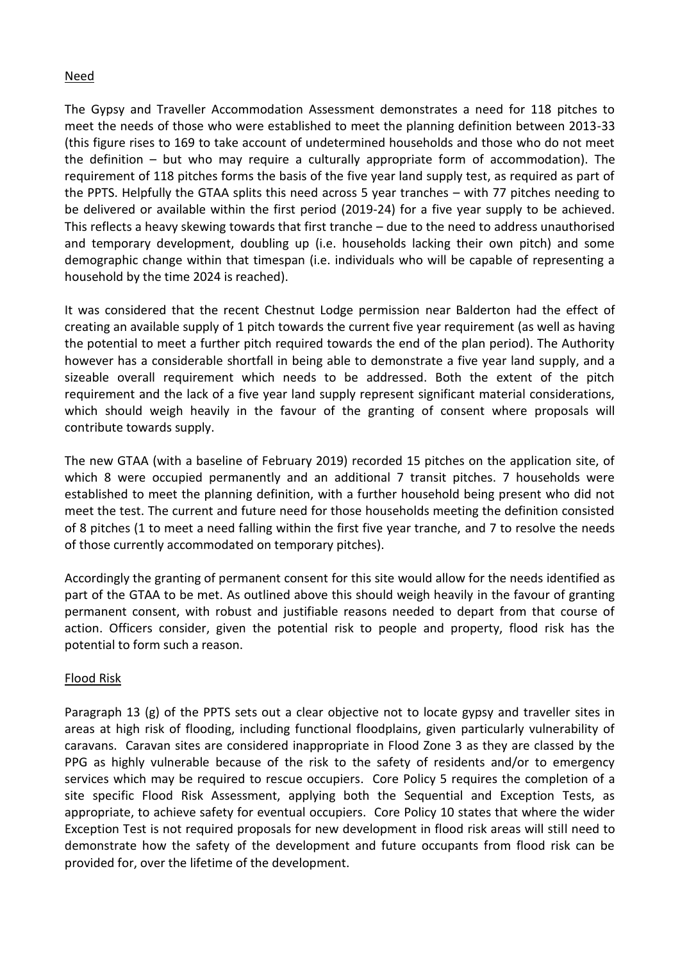### Need

The Gypsy and Traveller Accommodation Assessment demonstrates a need for 118 pitches to meet the needs of those who were established to meet the planning definition between 2013-33 (this figure rises to 169 to take account of undetermined households and those who do not meet the definition – but who may require a culturally appropriate form of accommodation). The requirement of 118 pitches forms the basis of the five year land supply test, as required as part of the PPTS. Helpfully the GTAA splits this need across 5 year tranches – with 77 pitches needing to be delivered or available within the first period (2019-24) for a five year supply to be achieved. This reflects a heavy skewing towards that first tranche – due to the need to address unauthorised and temporary development, doubling up (i.e. households lacking their own pitch) and some demographic change within that timespan (i.e. individuals who will be capable of representing a household by the time 2024 is reached).

It was considered that the recent Chestnut Lodge permission near Balderton had the effect of creating an available supply of 1 pitch towards the current five year requirement (as well as having the potential to meet a further pitch required towards the end of the plan period). The Authority however has a considerable shortfall in being able to demonstrate a five year land supply, and a sizeable overall requirement which needs to be addressed. Both the extent of the pitch requirement and the lack of a five year land supply represent significant material considerations, which should weigh heavily in the favour of the granting of consent where proposals will contribute towards supply.

The new GTAA (with a baseline of February 2019) recorded 15 pitches on the application site, of which 8 were occupied permanently and an additional 7 transit pitches. 7 households were established to meet the planning definition, with a further household being present who did not meet the test. The current and future need for those households meeting the definition consisted of 8 pitches (1 to meet a need falling within the first five year tranche, and 7 to resolve the needs of those currently accommodated on temporary pitches).

Accordingly the granting of permanent consent for this site would allow for the needs identified as part of the GTAA to be met. As outlined above this should weigh heavily in the favour of granting permanent consent, with robust and justifiable reasons needed to depart from that course of action. Officers consider, given the potential risk to people and property, flood risk has the potential to form such a reason.

# Flood Risk

Paragraph 13 (g) of the PPTS sets out a clear objective not to locate gypsy and traveller sites in areas at high risk of flooding, including functional floodplains, given particularly vulnerability of caravans. Caravan sites are considered inappropriate in Flood Zone 3 as they are classed by the PPG as highly vulnerable because of the risk to the safety of residents and/or to emergency services which may be required to rescue occupiers. Core Policy 5 requires the completion of a site specific Flood Risk Assessment, applying both the Sequential and Exception Tests, as appropriate, to achieve safety for eventual occupiers. Core Policy 10 states that where the wider Exception Test is not required proposals for new development in flood risk areas will still need to demonstrate how the safety of the development and future occupants from flood risk can be provided for, over the lifetime of the development.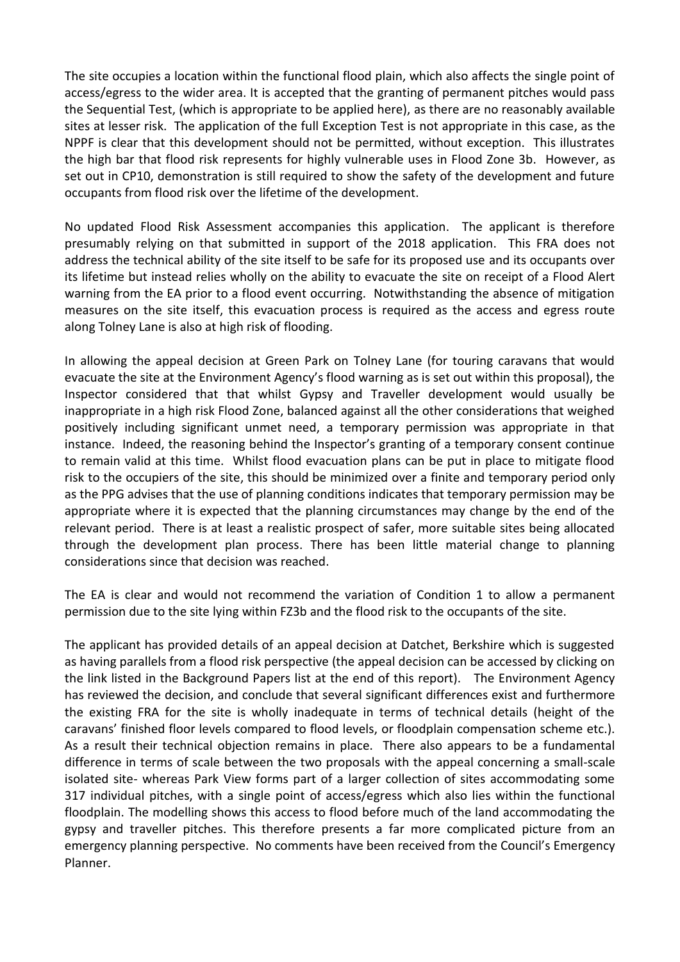The site occupies a location within the functional flood plain, which also affects the single point of access/egress to the wider area. It is accepted that the granting of permanent pitches would pass the Sequential Test, (which is appropriate to be applied here), as there are no reasonably available sites at lesser risk. The application of the full Exception Test is not appropriate in this case, as the NPPF is clear that this development should not be permitted, without exception. This illustrates the high bar that flood risk represents for highly vulnerable uses in Flood Zone 3b. However, as set out in CP10, demonstration is still required to show the safety of the development and future occupants from flood risk over the lifetime of the development.

No updated Flood Risk Assessment accompanies this application. The applicant is therefore presumably relying on that submitted in support of the 2018 application. This FRA does not address the technical ability of the site itself to be safe for its proposed use and its occupants over its lifetime but instead relies wholly on the ability to evacuate the site on receipt of a Flood Alert warning from the EA prior to a flood event occurring. Notwithstanding the absence of mitigation measures on the site itself, this evacuation process is required as the access and egress route along Tolney Lane is also at high risk of flooding.

In allowing the appeal decision at Green Park on Tolney Lane (for touring caravans that would evacuate the site at the Environment Agency's flood warning as is set out within this proposal), the Inspector considered that that whilst Gypsy and Traveller development would usually be inappropriate in a high risk Flood Zone, balanced against all the other considerations that weighed positively including significant unmet need, a temporary permission was appropriate in that instance. Indeed, the reasoning behind the Inspector's granting of a temporary consent continue to remain valid at this time. Whilst flood evacuation plans can be put in place to mitigate flood risk to the occupiers of the site, this should be minimized over a finite and temporary period only as the PPG advises that the use of planning conditions indicates that temporary permission may be appropriate where it is expected that the planning circumstances may change by the end of the relevant period. There is at least a realistic prospect of safer, more suitable sites being allocated through the development plan process. There has been little material change to planning considerations since that decision was reached.

The EA is clear and would not recommend the variation of Condition 1 to allow a permanent permission due to the site lying within FZ3b and the flood risk to the occupants of the site.

The applicant has provided details of an appeal decision at Datchet, Berkshire which is suggested as having parallels from a flood risk perspective (the appeal decision can be accessed by clicking on the link listed in the Background Papers list at the end of this report). The Environment Agency has reviewed the decision, and conclude that several significant differences exist and furthermore the existing FRA for the site is wholly inadequate in terms of technical details (height of the caravans' finished floor levels compared to flood levels, or floodplain compensation scheme etc.). As a result their technical objection remains in place. There also appears to be a fundamental difference in terms of scale between the two proposals with the appeal concerning a small-scale isolated site- whereas Park View forms part of a larger collection of sites accommodating some 317 individual pitches, with a single point of access/egress which also lies within the functional floodplain. The modelling shows this access to flood before much of the land accommodating the gypsy and traveller pitches. This therefore presents a far more complicated picture from an emergency planning perspective. No comments have been received from the Council's Emergency Planner.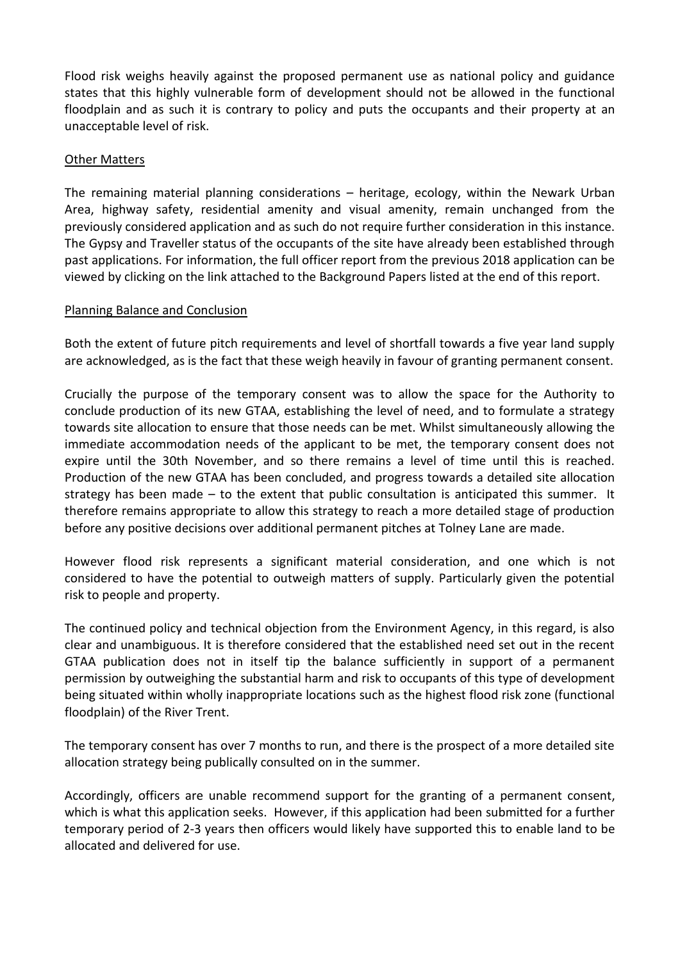Flood risk weighs heavily against the proposed permanent use as national policy and guidance states that this highly vulnerable form of development should not be allowed in the functional floodplain and as such it is contrary to policy and puts the occupants and their property at an unacceptable level of risk.

### Other Matters

The remaining material planning considerations – heritage, ecology, within the Newark Urban Area, highway safety, residential amenity and visual amenity, remain unchanged from the previously considered application and as such do not require further consideration in this instance. The Gypsy and Traveller status of the occupants of the site have already been established through past applications. For information, the full officer report from the previous 2018 application can be viewed by clicking on the link attached to the Background Papers listed at the end of this report.

#### Planning Balance and Conclusion

Both the extent of future pitch requirements and level of shortfall towards a five year land supply are acknowledged, as is the fact that these weigh heavily in favour of granting permanent consent.

Crucially the purpose of the temporary consent was to allow the space for the Authority to conclude production of its new GTAA, establishing the level of need, and to formulate a strategy towards site allocation to ensure that those needs can be met. Whilst simultaneously allowing the immediate accommodation needs of the applicant to be met, the temporary consent does not expire until the 30th November, and so there remains a level of time until this is reached. Production of the new GTAA has been concluded, and progress towards a detailed site allocation strategy has been made – to the extent that public consultation is anticipated this summer. It therefore remains appropriate to allow this strategy to reach a more detailed stage of production before any positive decisions over additional permanent pitches at Tolney Lane are made.

However flood risk represents a significant material consideration, and one which is not considered to have the potential to outweigh matters of supply. Particularly given the potential risk to people and property.

The continued policy and technical objection from the Environment Agency, in this regard, is also clear and unambiguous. It is therefore considered that the established need set out in the recent GTAA publication does not in itself tip the balance sufficiently in support of a permanent permission by outweighing the substantial harm and risk to occupants of this type of development being situated within wholly inappropriate locations such as the highest flood risk zone (functional floodplain) of the River Trent.

The temporary consent has over 7 months to run, and there is the prospect of a more detailed site allocation strategy being publically consulted on in the summer.

Accordingly, officers are unable recommend support for the granting of a permanent consent, which is what this application seeks. However, if this application had been submitted for a further temporary period of 2-3 years then officers would likely have supported this to enable land to be allocated and delivered for use.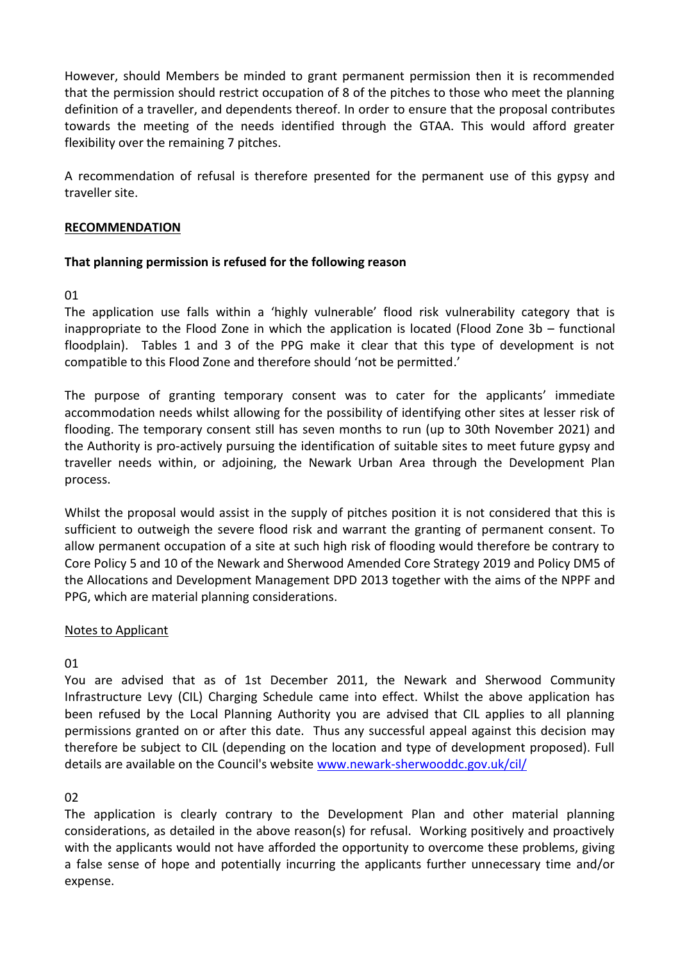However, should Members be minded to grant permanent permission then it is recommended that the permission should restrict occupation of 8 of the pitches to those who meet the planning definition of a traveller, and dependents thereof. In order to ensure that the proposal contributes towards the meeting of the needs identified through the GTAA. This would afford greater flexibility over the remaining 7 pitches.

A recommendation of refusal is therefore presented for the permanent use of this gypsy and traveller site.

### **RECOMMENDATION**

# **That planning permission is refused for the following reason**

### 01

The application use falls within a 'highly vulnerable' flood risk vulnerability category that is inappropriate to the Flood Zone in which the application is located (Flood Zone 3b – functional floodplain). Tables 1 and 3 of the PPG make it clear that this type of development is not compatible to this Flood Zone and therefore should 'not be permitted.'

The purpose of granting temporary consent was to cater for the applicants' immediate accommodation needs whilst allowing for the possibility of identifying other sites at lesser risk of flooding. The temporary consent still has seven months to run (up to 30th November 2021) and the Authority is pro-actively pursuing the identification of suitable sites to meet future gypsy and traveller needs within, or adjoining, the Newark Urban Area through the Development Plan process.

Whilst the proposal would assist in the supply of pitches position it is not considered that this is sufficient to outweigh the severe flood risk and warrant the granting of permanent consent. To allow permanent occupation of a site at such high risk of flooding would therefore be contrary to Core Policy 5 and 10 of the Newark and Sherwood Amended Core Strategy 2019 and Policy DM5 of the Allocations and Development Management DPD 2013 together with the aims of the NPPF and PPG, which are material planning considerations.

# Notes to Applicant

# 01

You are advised that as of 1st December 2011, the Newark and Sherwood Community Infrastructure Levy (CIL) Charging Schedule came into effect. Whilst the above application has been refused by the Local Planning Authority you are advised that CIL applies to all planning permissions granted on or after this date. Thus any successful appeal against this decision may therefore be subject to CIL (depending on the location and type of development proposed). Full details are available on the Council's website [www.newark-sherwooddc.gov.uk/cil/](http://www.newark-sherwooddc.gov.uk/cil/)

# 02

The application is clearly contrary to the Development Plan and other material planning considerations, as detailed in the above reason(s) for refusal. Working positively and proactively with the applicants would not have afforded the opportunity to overcome these problems, giving a false sense of hope and potentially incurring the applicants further unnecessary time and/or expense.